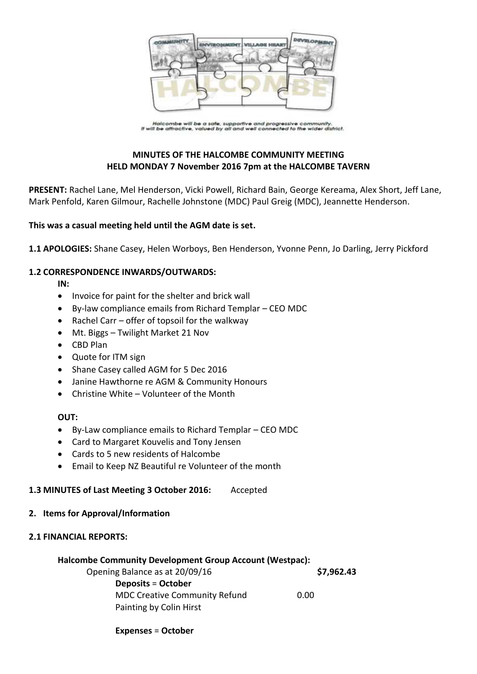

.<br>Halcombe will be a safe, supportive and progressive community.<br>It will be attractive, valued by all and well connected to the wider district.

# **MINUTES OF THE HALCOMBE COMMUNITY MEETING HELD MONDAY 7 November 2016 7pm at the HALCOMBE TAVERN**

**PRESENT:** Rachel Lane, Mel Henderson, Vicki Powell, Richard Bain, George Kereama, Alex Short, Jeff Lane, Mark Penfold, Karen Gilmour, Rachelle Johnstone (MDC) Paul Greig (MDC), Jeannette Henderson.

### **This was a casual meeting held until the AGM date is set.**

**1.1 APOLOGIES:** Shane Casey, Helen Worboys, Ben Henderson, Yvonne Penn, Jo Darling, Jerry Pickford

### **1.2 CORRESPONDENCE INWARDS/OUTWARDS:**

**IN:** 

- Invoice for paint for the shelter and brick wall
- By-law compliance emails from Richard Templar CEO MDC
- Rachel Carr offer of topsoil for the walkway
- Mt. Biggs Twilight Market 21 Nov
- CBD Plan
- Quote for ITM sign
- Shane Casey called AGM for 5 Dec 2016
- Janine Hawthorne re AGM & Community Honours
- Christine White Volunteer of the Month

### **OUT:**

- By-Law compliance emails to Richard Templar CEO MDC
- Card to Margaret Kouvelis and Tony Jensen
- Cards to 5 new residents of Halcombe
- Email to Keep NZ Beautiful re Volunteer of the month

### **1.3 MINUTES of Last Meeting 3 October 2016:** Accepted

### **2. Items for Approval/Information**

### **2.1 FINANCIAL REPORTS:**

### **Halcombe Community Development Group Account (Westpac):**

Opening Balance as at 20/09/16 **\$7,962.43 Deposits** = **October** MDC Creative Community Refund 0.00 Painting by Colin Hirst

**Expenses** = **October**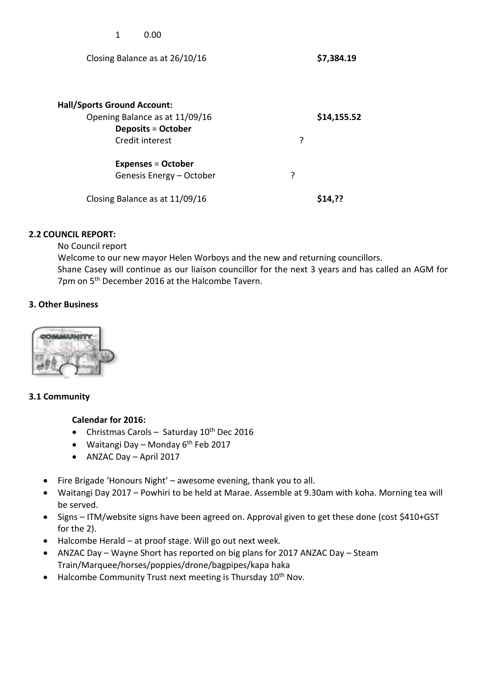| 1<br>0.00                                                                                                            |   |             |
|----------------------------------------------------------------------------------------------------------------------|---|-------------|
| Closing Balance as at 26/10/16                                                                                       |   | \$7,384.19  |
| <b>Hall/Sports Ground Account:</b><br>Opening Balance as at 11/09/16<br><b>Deposits = October</b><br>Credit interest | ? | \$14,155.52 |
| <b>Expenses = October</b><br>Genesis Energy - October                                                                | ? |             |
| Closing Balance as at 11/09/16                                                                                       |   | S14.??      |

# **2.2 COUNCIL REPORT:**

No Council report

Welcome to our new mayor Helen Worboys and the new and returning councillors. Shane Casey will continue as our liaison councillor for the next 3 years and has called an AGM for 7pm on 5<sup>th</sup> December 2016 at the Halcombe Tavern.

# **3. Other Business**



## **3.1 Community**

## **Calendar for 2016:**

- Christmas Carols Saturday 10<sup>th</sup> Dec 2016
- Waitangi Day Monday  $6<sup>th</sup>$  Feb 2017
- ANZAC Day April 2017
- Fire Brigade 'Honours Night' awesome evening, thank you to all.
- Waitangi Day 2017 Powhiri to be held at Marae. Assemble at 9.30am with koha. Morning tea will be served.
- Signs ITM/website signs have been agreed on. Approval given to get these done (cost \$410+GST for the 2).
- Halcombe Herald at proof stage. Will go out next week.
- ANZAC Day Wayne Short has reported on big plans for 2017 ANZAC Day Steam Train/Marquee/horses/poppies/drone/bagpipes/kapa haka
- $\bullet$  Halcombe Community Trust next meeting is Thursday 10<sup>th</sup> Nov.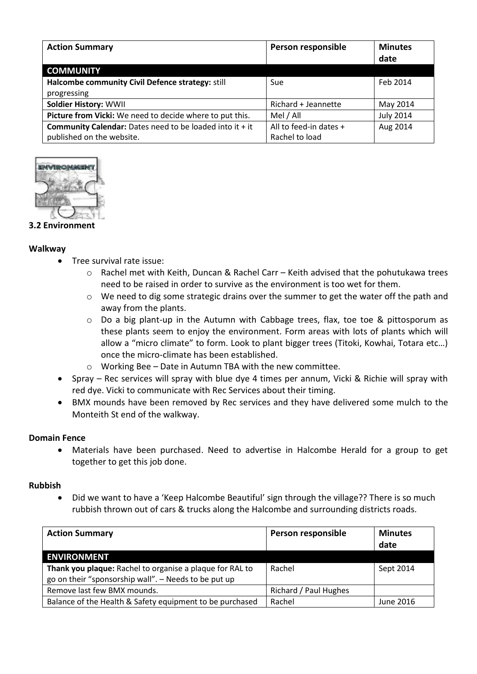| <b>Action Summary</b>                                             | Person responsible     | <b>Minutes</b><br>date |
|-------------------------------------------------------------------|------------------------|------------------------|
| <b>COMMUNITY</b>                                                  |                        |                        |
| Halcombe community Civil Defence strategy: still                  | Sue                    | Feb 2014               |
| progressing                                                       |                        |                        |
| <b>Soldier History: WWII</b>                                      | Richard + Jeannette    | May 2014               |
| Picture from Vicki: We need to decide where to put this.          | Mel / All              | <b>July 2014</b>       |
| <b>Community Calendar:</b> Dates need to be loaded into it $+$ it | All to feed-in dates + | Aug 2014               |
| published on the website.                                         | Rachel to load         |                        |



## **3.2 Environment**

### **Walkway**

- Tree survival rate issue:
	- o Rachel met with Keith, Duncan & Rachel Carr Keith advised that the pohutukawa trees need to be raised in order to survive as the environment is too wet for them.
	- $\circ$  We need to dig some strategic drains over the summer to get the water off the path and away from the plants.
	- $\circ$  Do a big plant-up in the Autumn with Cabbage trees, flax, toe toe & pittosporum as these plants seem to enjoy the environment. Form areas with lots of plants which will allow a "micro climate" to form. Look to plant bigger trees (Titoki, Kowhai, Totara etc…) once the micro-climate has been established.
	- o Working Bee Date in Autumn TBA with the new committee.
- Spray Rec services will spray with blue dye 4 times per annum, Vicki & Richie will spray with red dye. Vicki to communicate with Rec Services about their timing.
- BMX mounds have been removed by Rec services and they have delivered some mulch to the Monteith St end of the walkway.

### **Domain Fence**

 Materials have been purchased. Need to advertise in Halcombe Herald for a group to get together to get this job done.

### **Rubbish**

 Did we want to have a 'Keep Halcombe Beautiful' sign through the village?? There is so much rubbish thrown out of cars & trucks along the Halcombe and surrounding districts roads.

| <b>Action Summary</b>                                    | Person responsible    | <b>Minutes</b><br>date |
|----------------------------------------------------------|-----------------------|------------------------|
| <b>ENVIRONMENT</b>                                       |                       |                        |
| Thank you plaque: Rachel to organise a plaque for RAL to | Rachel                | Sept 2014              |
| go on their "sponsorship wall". - Needs to be put up     |                       |                        |
| Remove last few BMX mounds.                              | Richard / Paul Hughes |                        |
| Balance of the Health & Safety equipment to be purchased | Rachel                | June 2016              |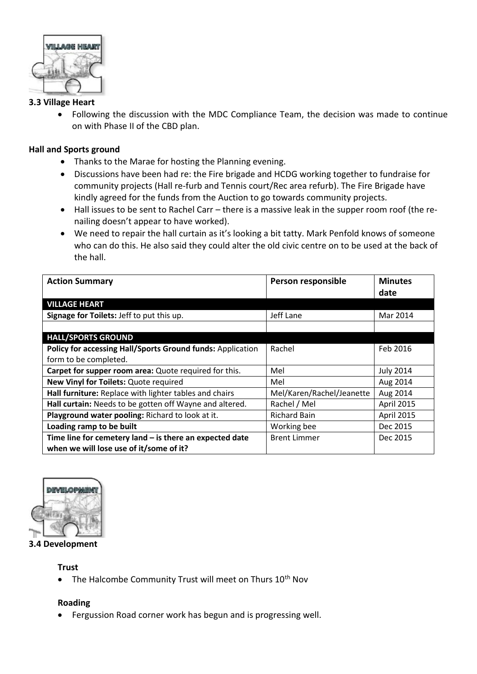

# **3.3 Village Heart**

 Following the discussion with the MDC Compliance Team, the decision was made to continue on with Phase II of the CBD plan.

## **Hall and Sports ground**

- Thanks to the Marae for hosting the Planning evening.
- Discussions have been had re: the Fire brigade and HCDG working together to fundraise for community projects (Hall re-furb and Tennis court/Rec area refurb). The Fire Brigade have kindly agreed for the funds from the Auction to go towards community projects.
- Hall issues to be sent to Rachel Carr there is a massive leak in the supper room roof (the renailing doesn't appear to have worked).
- We need to repair the hall curtain as it's looking a bit tatty. Mark Penfold knows of someone who can do this. He also said they could alter the old civic centre on to be used at the back of the hall.

| <b>Action Summary</b>                                      | Person responsible        | <b>Minutes</b>   |
|------------------------------------------------------------|---------------------------|------------------|
|                                                            |                           | date             |
| <b>VILLAGE HEART</b>                                       |                           |                  |
| Signage for Toilets: Jeff to put this up.                  | Jeff Lane                 | Mar 2014         |
|                                                            |                           |                  |
| <b>HALL/SPORTS GROUND</b>                                  |                           |                  |
| Policy for accessing Hall/Sports Ground funds: Application | Rachel                    | Feb 2016         |
| form to be completed.                                      |                           |                  |
| Carpet for supper room area: Quote required for this.      | Mel                       | <b>July 2014</b> |
| New Vinyl for Toilets: Quote required                      | Mel                       | Aug 2014         |
| Hall furniture: Replace with lighter tables and chairs     | Mel/Karen/Rachel/Jeanette | Aug 2014         |
| Hall curtain: Needs to be gotten off Wayne and altered.    | Rachel / Mel              | April 2015       |
| Playground water pooling: Richard to look at it.           | <b>Richard Bain</b>       | April 2015       |
| Loading ramp to be built                                   | Working bee               | Dec 2015         |
| Time line for cemetery land $-$ is there an expected date  | <b>Brent Limmer</b>       | Dec 2015         |
| when we will lose use of it/some of it?                    |                           |                  |



**3.4 Development**

### **Trust**

• The Halcombe Community Trust will meet on Thurs 10<sup>th</sup> Nov

## **Roading**

Fergussion Road corner work has begun and is progressing well.